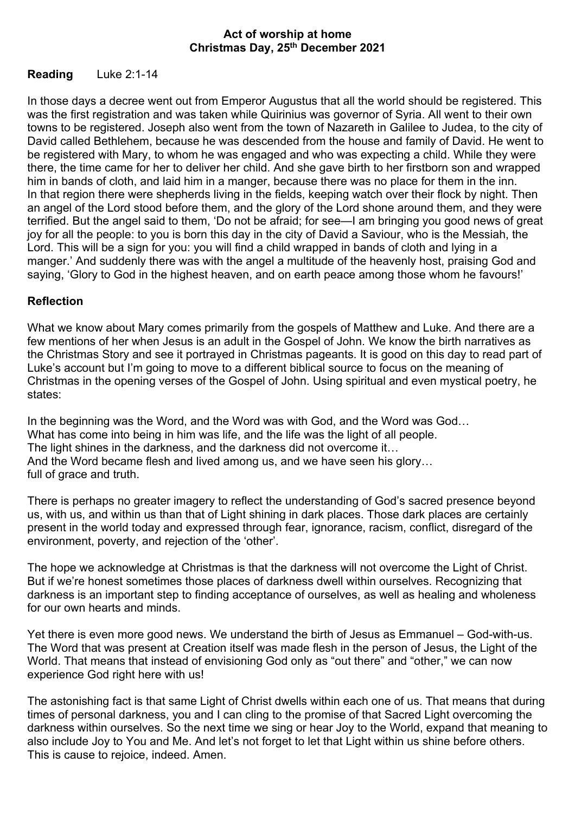#### **Act of worship at home Christmas Day, 25th December 2021**

## **Reading** Luke 2:1-14

In those days a decree went out from Emperor Augustus that all the world should be registered. This was the first registration and was taken while Quirinius was governor of Syria. All went to their own towns to be registered. Joseph also went from the town of Nazareth in Galilee to Judea, to the city of David called Bethlehem, because he was descended from the house and family of David. He went to be registered with Mary, to whom he was engaged and who was expecting a child. While they were there, the time came for her to deliver her child. And she gave birth to her firstborn son and wrapped him in bands of cloth, and laid him in a manger, because there was no place for them in the inn. In that region there were shepherds living in the fields, keeping watch over their flock by night. Then an angel of the Lord stood before them, and the glory of the Lord shone around them, and they were terrified. But the angel said to them, 'Do not be afraid; for see—I am bringing you good news of great joy for all the people: to you is born this day in the city of David a Saviour, who is the Messiah, the Lord. This will be a sign for you: you will find a child wrapped in bands of cloth and lying in a manger.' And suddenly there was with the angel a multitude of the heavenly host, praising God and saying, 'Glory to God in the highest heaven, and on earth peace among those whom he favours!'

## **Reflection**

What we know about Mary comes primarily from the gospels of Matthew and Luke. And there are a few mentions of her when Jesus is an adult in the Gospel of John. We know the birth narratives as the Christmas Story and see it portrayed in Christmas pageants. It is good on this day to read part of Luke's account but I'm going to move to a different biblical source to focus on the meaning of Christmas in the opening verses of the Gospel of John. Using spiritual and even mystical poetry, he states:

In the beginning was the Word, and the Word was with God, and the Word was God… What has come into being in him was life, and the life was the light of all people. The light shines in the darkness, and the darkness did not overcome it… And the Word became flesh and lived among us, and we have seen his glory… full of grace and truth.

There is perhaps no greater imagery to reflect the understanding of God's sacred presence beyond us, with us, and within us than that of Light shining in dark places. Those dark places are certainly present in the world today and expressed through fear, ignorance, racism, conflict, disregard of the environment, poverty, and rejection of the 'other'.

The hope we acknowledge at Christmas is that the darkness will not overcome the Light of Christ. But if we're honest sometimes those places of darkness dwell within ourselves. Recognizing that darkness is an important step to finding acceptance of ourselves, as well as healing and wholeness for our own hearts and minds.

Yet there is even more good news. We understand the birth of Jesus as Emmanuel – God-with-us. The Word that was present at Creation itself was made flesh in the person of Jesus, the Light of the World. That means that instead of envisioning God only as "out there" and "other," we can now experience God right here with us!

The astonishing fact is that same Light of Christ dwells within each one of us. That means that during times of personal darkness, you and I can cling to the promise of that Sacred Light overcoming the darkness within ourselves. So the next time we sing or hear Joy to the World, expand that meaning to also include Joy to You and Me. And let's not forget to let that Light within us shine before others. This is cause to rejoice, indeed. Amen.